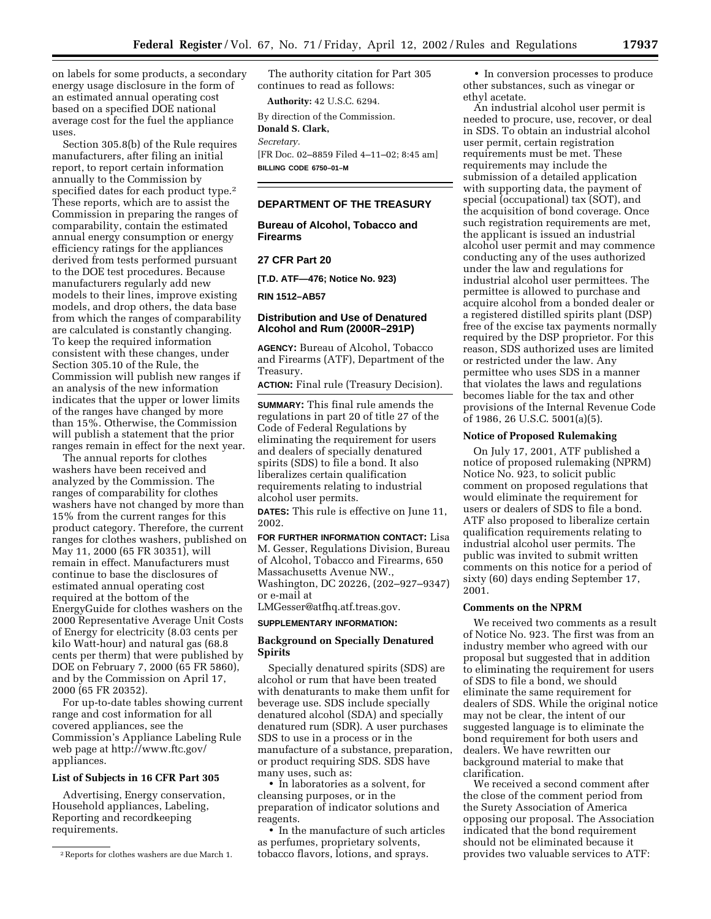on labels for some products, a secondary energy usage disclosure in the form of an estimated annual operating cost based on a specified DOE national average cost for the fuel the appliance uses.

Section 305.8(b) of the Rule requires manufacturers, after filing an initial report, to report certain information annually to the Commission by specified dates for each product type.2 These reports, which are to assist the Commission in preparing the ranges of comparability, contain the estimated annual energy consumption or energy efficiency ratings for the appliances derived from tests performed pursuant to the DOE test procedures. Because manufacturers regularly add new models to their lines, improve existing models, and drop others, the data base from which the ranges of comparability are calculated is constantly changing. To keep the required information consistent with these changes, under Section 305.10 of the Rule, the Commission will publish new ranges if an analysis of the new information indicates that the upper or lower limits of the ranges have changed by more than 15%. Otherwise, the Commission will publish a statement that the prior ranges remain in effect for the next year.

The annual reports for clothes washers have been received and analyzed by the Commission. The ranges of comparability for clothes washers have not changed by more than 15% from the current ranges for this product category. Therefore, the current ranges for clothes washers, published on May 11, 2000 (65 FR 30351), will remain in effect. Manufacturers must continue to base the disclosures of estimated annual operating cost required at the bottom of the EnergyGuide for clothes washers on the 2000 Representative Average Unit Costs of Energy for electricity (8.03 cents per kilo Watt-hour) and natural gas (68.8 cents per therm) that were published by DOE on February 7, 2000 (65 FR 5860), and by the Commission on April 17, 2000 (65 FR 20352).

For up-to-date tables showing current range and cost information for all covered appliances, see the Commission's Appliance Labeling Rule web page at http://www.ftc.gov/ appliances.

# **List of Subjects in 16 CFR Part 305**

Advertising, Energy conservation, Household appliances, Labeling, Reporting and recordkeeping requirements.

The authority citation for Part 305 continues to read as follows:

**Authority:** 42 U.S.C. 6294.

By direction of the Commission.

## **Donald S. Clark,**  *Secretary.*

[FR Doc. 02–8859 Filed 4–11–02; 8:45 am] **BILLING CODE 6750–01–M**

# **DEPARTMENT OF THE TREASURY**

**Bureau of Alcohol, Tobacco and Firearms** 

# **27 CFR Part 20**

**[T.D. ATF—476; Notice No. 923)** 

**RIN 1512–AB57** 

## **Distribution and Use of Denatured Alcohol and Rum (2000R–291P)**

**AGENCY:** Bureau of Alcohol, Tobacco and Firearms (ATF), Department of the Treasury.

**ACTION:** Final rule (Treasury Decision).

**SUMMARY:** This final rule amends the regulations in part 20 of title 27 of the Code of Federal Regulations by eliminating the requirement for users and dealers of specially denatured spirits (SDS) to file a bond. It also liberalizes certain qualification requirements relating to industrial alcohol user permits.

**DATES:** This rule is effective on June 11, 2002.

**FOR FURTHER INFORMATION CONTACT:** Lisa M. Gesser, Regulations Division, Bureau of Alcohol, Tobacco and Firearms, 650 Massachusetts Avenue NW., Washington, DC 20226, (202–927–9347) or e-mail at LMGesser@atfhq.atf.treas.gov.

#### **SUPPLEMENTARY INFORMATION:**

## **Background on Specially Denatured Spirits**

Specially denatured spirits (SDS) are alcohol or rum that have been treated with denaturants to make them unfit for beverage use. SDS include specially denatured alcohol (SDA) and specially denatured rum (SDR). A user purchases SDS to use in a process or in the manufacture of a substance, preparation, or product requiring SDS. SDS have many uses, such as:

• In laboratories as a solvent, for cleansing purposes, or in the preparation of indicator solutions and reagents.

• In the manufacture of such articles as perfumes, proprietary solvents, tobacco flavors, lotions, and sprays.

• In conversion processes to produce other substances, such as vinegar or ethyl acetate.

An industrial alcohol user permit is needed to procure, use, recover, or deal in SDS. To obtain an industrial alcohol user permit, certain registration requirements must be met. These requirements may include the submission of a detailed application with supporting data, the payment of special (occupational) tax (SOT), and the acquisition of bond coverage. Once such registration requirements are met, the applicant is issued an industrial alcohol user permit and may commence conducting any of the uses authorized under the law and regulations for industrial alcohol user permittees. The permittee is allowed to purchase and acquire alcohol from a bonded dealer or a registered distilled spirits plant (DSP) free of the excise tax payments normally required by the DSP proprietor. For this reason, SDS authorized uses are limited or restricted under the law. Any permittee who uses SDS in a manner that violates the laws and regulations becomes liable for the tax and other provisions of the Internal Revenue Code of 1986, 26 U.S.C. 5001(a)(5).

### **Notice of Proposed Rulemaking**

On July 17, 2001, ATF published a notice of proposed rulemaking (NPRM) Notice No. 923, to solicit public comment on proposed regulations that would eliminate the requirement for users or dealers of SDS to file a bond. ATF also proposed to liberalize certain qualification requirements relating to industrial alcohol user permits. The public was invited to submit written comments on this notice for a period of sixty (60) days ending September 17, 2001.

## **Comments on the NPRM**

We received two comments as a result of Notice No. 923. The first was from an industry member who agreed with our proposal but suggested that in addition to eliminating the requirement for users of SDS to file a bond, we should eliminate the same requirement for dealers of SDS. While the original notice may not be clear, the intent of our suggested language is to eliminate the bond requirement for both users and dealers. We have rewritten our background material to make that clarification.

We received a second comment after the close of the comment period from the Surety Association of America opposing our proposal. The Association indicated that the bond requirement should not be eliminated because it provides two valuable services to ATF:

<sup>2</sup>Reports for clothes washers are due March 1.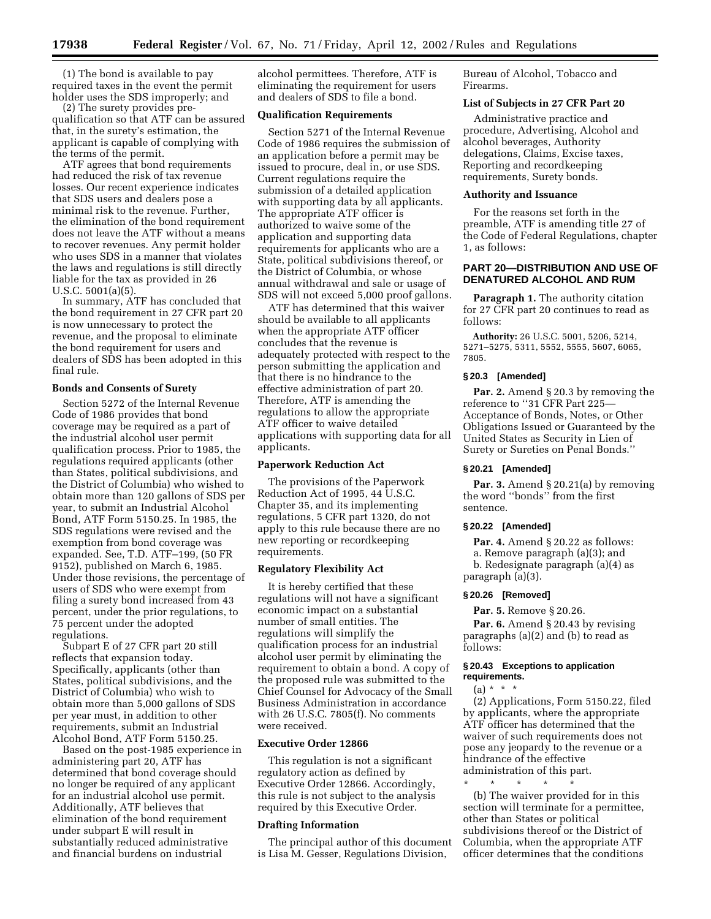(1) The bond is available to pay required taxes in the event the permit holder uses the SDS improperly; and

(2) The surety provides prequalification so that ATF can be assured that, in the surety's estimation, the applicant is capable of complying with the terms of the permit.

ATF agrees that bond requirements had reduced the risk of tax revenue losses. Our recent experience indicates that SDS users and dealers pose a minimal risk to the revenue. Further, the elimination of the bond requirement does not leave the ATF without a means to recover revenues. Any permit holder who uses SDS in a manner that violates the laws and regulations is still directly liable for the tax as provided in 26 U.S.C. 5001(a)(5).

In summary, ATF has concluded that the bond requirement in 27 CFR part 20 is now unnecessary to protect the revenue, and the proposal to eliminate the bond requirement for users and dealers of SDS has been adopted in this final rule.

## **Bonds and Consents of Surety**

Section 5272 of the Internal Revenue Code of 1986 provides that bond coverage may be required as a part of the industrial alcohol user permit qualification process. Prior to 1985, the regulations required applicants (other than States, political subdivisions, and the District of Columbia) who wished to obtain more than 120 gallons of SDS per year, to submit an Industrial Alcohol Bond, ATF Form 5150.25. In 1985, the SDS regulations were revised and the exemption from bond coverage was expanded. See, T.D. ATF–199, (50 FR 9152), published on March 6, 1985. Under those revisions, the percentage of users of SDS who were exempt from filing a surety bond increased from 43 percent, under the prior regulations, to 75 percent under the adopted regulations.

Subpart E of 27 CFR part 20 still reflects that expansion today. Specifically, applicants (other than States, political subdivisions, and the District of Columbia) who wish to obtain more than 5,000 gallons of SDS per year must, in addition to other requirements, submit an Industrial Alcohol Bond, ATF Form 5150.25.

Based on the post-1985 experience in administering part 20, ATF has determined that bond coverage should no longer be required of any applicant for an industrial alcohol use permit. Additionally, ATF believes that elimination of the bond requirement under subpart E will result in substantially reduced administrative and financial burdens on industrial

alcohol permittees. Therefore, ATF is eliminating the requirement for users and dealers of SDS to file a bond.

## **Qualification Requirements**

Section 5271 of the Internal Revenue Code of 1986 requires the submission of an application before a permit may be issued to procure, deal in, or use SDS. Current regulations require the submission of a detailed application with supporting data by all applicants. The appropriate ATF officer is authorized to waive some of the application and supporting data requirements for applicants who are a State, political subdivisions thereof, or the District of Columbia, or whose annual withdrawal and sale or usage of SDS will not exceed 5,000 proof gallons.

ATF has determined that this waiver should be available to all applicants when the appropriate ATF officer concludes that the revenue is adequately protected with respect to the person submitting the application and that there is no hindrance to the effective administration of part 20. Therefore, ATF is amending the regulations to allow the appropriate ATF officer to waive detailed applications with supporting data for all applicants.

## **Paperwork Reduction Act**

The provisions of the Paperwork Reduction Act of 1995, 44 U.S.C. Chapter 35, and its implementing regulations, 5 CFR part 1320, do not apply to this rule because there are no new reporting or recordkeeping requirements.

### **Regulatory Flexibility Act**

It is hereby certified that these regulations will not have a significant economic impact on a substantial number of small entities. The regulations will simplify the qualification process for an industrial alcohol user permit by eliminating the requirement to obtain a bond. A copy of the proposed rule was submitted to the Chief Counsel for Advocacy of the Small Business Administration in accordance with 26 U.S.C. 7805(f). No comments were received.

#### **Executive Order 12866**

This regulation is not a significant regulatory action as defined by Executive Order 12866. Accordingly, this rule is not subject to the analysis required by this Executive Order.

## **Drafting Information**

The principal author of this document is Lisa M. Gesser, Regulations Division,

Bureau of Alcohol, Tobacco and Firearms.

#### **List of Subjects in 27 CFR Part 20**

Administrative practice and procedure, Advertising, Alcohol and alcohol beverages, Authority delegations, Claims, Excise taxes, Reporting and recordkeeping requirements, Surety bonds.

#### **Authority and Issuance**

For the reasons set forth in the preamble, ATF is amending title 27 of the Code of Federal Regulations, chapter 1, as follows:

# **PART 20—DISTRIBUTION AND USE OF DENATURED ALCOHOL AND RUM**

**Paragraph 1.** The authority citation for 27 CFR part 20 continues to read as follows:

**Authority:** 26 U.S.C. 5001, 5206, 5214, 5271–5275, 5311, 5552, 5555, 5607, 6065, 7805.

## **§ 20.3 [Amended]**

**Par. 2.** Amend § 20.3 by removing the reference to ''31 CFR Part 225— Acceptance of Bonds, Notes, or Other Obligations Issued or Guaranteed by the United States as Security in Lien of Surety or Sureties on Penal Bonds.''

#### **§ 20.21 [Amended]**

**Par. 3.** Amend § 20.21(a) by removing the word ''bonds'' from the first sentence.

### **§ 20.22 [Amended]**

**Par. 4.** Amend § 20.22 as follows: a. Remove paragraph (a)(3); and b. Redesignate paragraph (a)(4) as paragraph (a)(3).

### **§ 20.26 [Removed]**

**Par. 5.** Remove § 20.26.

Par. 6. Amend § 20.43 by revising paragraphs (a)(2) and (b) to read as follows:

# **§ 20.43 Exceptions to application requirements.**

 $(a) * * * *$ 

(2) Applications, Form 5150.22, filed by applicants, where the appropriate ATF officer has determined that the waiver of such requirements does not pose any jeopardy to the revenue or a hindrance of the effective

administration of this part.

\* \* \* \* \* (b) The waiver provided for in this section will terminate for a permittee, other than States or political subdivisions thereof or the District of Columbia, when the appropriate ATF officer determines that the conditions